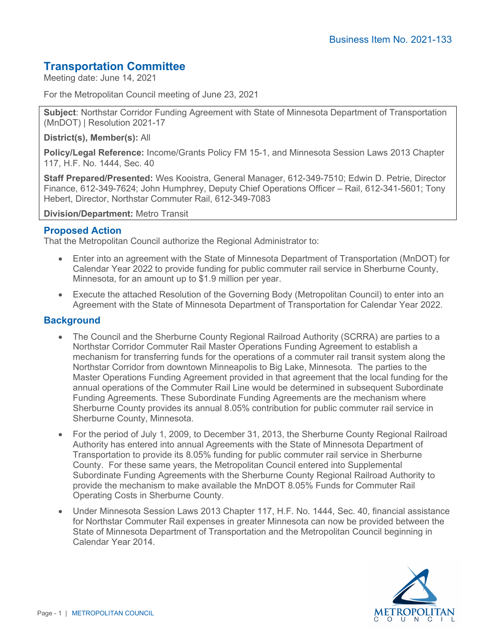# **Transportation Committee**

Meeting date: June 14, 2021

For the Metropolitan Council meeting of June 23, 2021

**Subject**: Northstar Corridor Funding Agreement with State of Minnesota Department of Transportation (MnDOT) | Resolution 2021-17

**District(s), Member(s):** All

**Policy/Legal Reference:** Income/Grants Policy FM 15-1, and Minnesota Session Laws 2013 Chapter 117, H.F. No. 1444, Sec. 40

**Staff Prepared/Presented:** Wes Kooistra, General Manager, 612-349-7510; Edwin D. Petrie, Director Finance, 612-349-7624; John Humphrey, Deputy Chief Operations Officer – Rail, 612-341-5601; Tony Hebert, Director, Northstar Commuter Rail, 612-349-7083

**Division/Department:** Metro Transit

## **Proposed Action**

That the Metropolitan Council authorize the Regional Administrator to:

- Enter into an agreement with the State of Minnesota Department of Transportation (MnDOT) for Calendar Year 2022 to provide funding for public commuter rail service in Sherburne County, Minnesota, for an amount up to \$1.9 million per year.
- Execute the attached Resolution of the Governing Body (Metropolitan Council) to enter into an Agreement with the State of Minnesota Department of Transportation for Calendar Year 2022.

## **Background**

- The Council and the Sherburne County Regional Railroad Authority (SCRRA) are parties to a Northstar Corridor Commuter Rail Master Operations Funding Agreement to establish a mechanism for transferring funds for the operations of a commuter rail transit system along the Northstar Corridor from downtown Minneapolis to Big Lake, Minnesota. The parties to the Master Operations Funding Agreement provided in that agreement that the local funding for the annual operations of the Commuter Rail Line would be determined in subsequent Subordinate Funding Agreements. These Subordinate Funding Agreements are the mechanism where Sherburne County provides its annual 8.05% contribution for public commuter rail service in Sherburne County, Minnesota.
- For the period of July 1, 2009, to December 31, 2013, the Sherburne County Regional Railroad Authority has entered into annual Agreements with the State of Minnesota Department of Transportation to provide its 8.05% funding for public commuter rail service in Sherburne County. For these same years, the Metropolitan Council entered into Supplemental Subordinate Funding Agreements with the Sherburne County Regional Railroad Authority to provide the mechanism to make available the MnDOT 8.05% Funds for Commuter Rail Operating Costs in Sherburne County.
- Under Minnesota Session Laws 2013 Chapter 117, H.F. No. 1444, Sec. 40, financial assistance for Northstar Commuter Rail expenses in greater Minnesota can now be provided between the State of Minnesota Department of Transportation and the Metropolitan Council beginning in Calendar Year 2014.

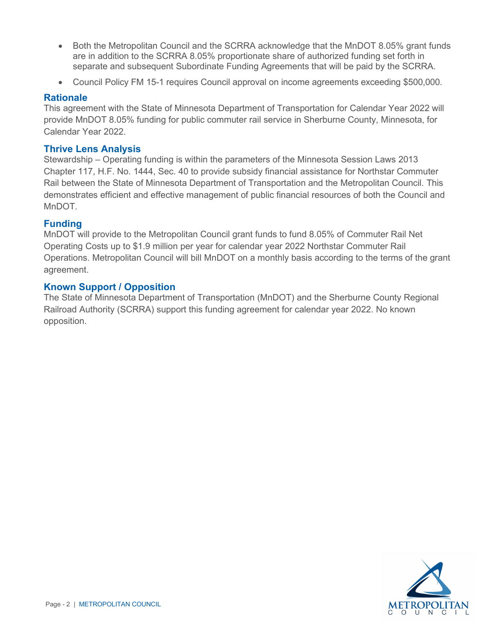- Both the Metropolitan Council and the SCRRA acknowledge that the MnDOT 8.05% grant funds are in addition to the SCRRA 8.05% proportionate share of authorized funding set forth in separate and subsequent Subordinate Funding Agreements that will be paid by the SCRRA.
- Council Policy FM 15-1 requires Council approval on income agreements exceeding \$500,000.

#### **Rationale**

This agreement with the State of Minnesota Department of Transportation for Calendar Year 2022 will provide MnDOT 8.05% funding for public commuter rail service in Sherburne County, Minnesota, for Calendar Year 2022.

#### **Thrive Lens Analysis**

Stewardship – Operating funding is within the parameters of the Minnesota Session Laws 2013 Chapter 117, H.F. No. 1444, Sec. 40 to provide subsidy financial assistance for Northstar Commuter Rail between the State of Minnesota Department of Transportation and the Metropolitan Council. This demonstrates efficient and effective management of public financial resources of both the Council and MnDOT.

## **Funding**

MnDOT will provide to the Metropolitan Council grant funds to fund 8.05% of Commuter Rail Net Operating Costs up to \$1.9 million per year for calendar year 2022 Northstar Commuter Rail Operations. Metropolitan Council will bill MnDOT on a monthly basis according to the terms of the grant agreement.

## **Known Support / Opposition**

The State of Minnesota Department of Transportation (MnDOT) and the Sherburne County Regional Railroad Authority (SCRRA) support this funding agreement for calendar year 2022. No known opposition.